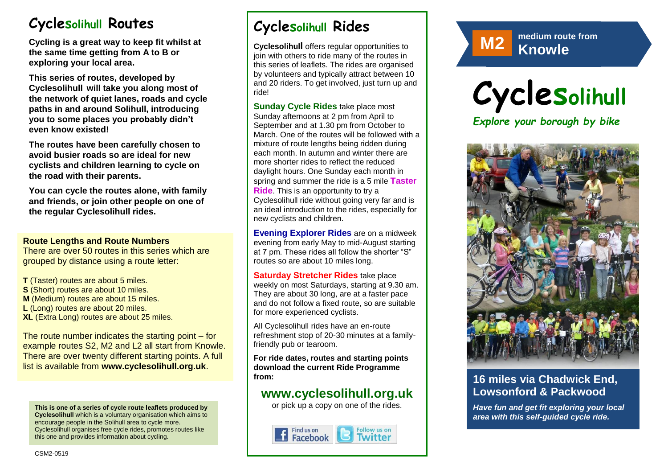# **Cyclesolihull Routes**

**Cycling is a great way to keep fit whilst at the same time getting from A to B or exploring your local area.** 

**This series of routes, developed by Cyclesolihull will take you along most of the network of quiet lanes, roads and cycle paths in and around Solihull, introducing you to some places you probably didn't even know existed!**

**The routes have been carefully chosen to avoid busier roads so are ideal for new cyclists and children learning to cycle on the road with their parents.** 

**You can cycle the routes alone, with family and friends, or join other people on one of the regular Cyclesolihull rides.**

#### **Route Lengths and Route Numbers**

There are over 50 routes in this series which are grouped by distance using a route letter:

**T** (Taster) routes are about 5 miles. **S** (Short) routes are about 10 miles. **M** (Medium) routes are about 15 miles. **L** (Long) routes are about 20 miles. **XL** (Extra Long) routes are about 25 miles.

The route number indicates the starting point – for example routes S2, M2 and L2 all start from Knowle. There are over twenty different starting points. A full list is available from **www.cyclesolihull.org.uk**.

**This is one of a series of cycle route leaflets produced by Cyclesolihull** which is a voluntary organisation which aims to encourage people in the Solihull area to cycle more. Cyclesolihull organises free cycle rides, promotes routes like this one and provides information about cycling.

# **Cyclesolihull Rides**

**Cyclesolihull** offers regular opportunities to join with others to ride many of the routes in this series of leaflets. The rides are organised by volunteers and typically attract between 10 and 20 riders. To get involved, just turn up and ride!

**Sunday Cycle Rides** take place most Sunday afternoons at 2 pm from April to September and at 1.30 pm from October to March. One of the routes will be followed with a mixture of route lengths being ridden during each month. In autumn and winter there are more shorter rides to reflect the reduced daylight hours. One Sunday each month in spring and summer the ride is a 5 mile **Taster Ride**. This is an opportunity to try a Cyclesolihull ride without going very far and is an ideal introduction to the rides, especially for new cyclists and children.

**Evening Explorer Rides** are on a midweek evening from early May to mid-August starting at 7 pm. These rides all follow the shorter "S" routes so are about 10 miles long.

**Saturday Stretcher Rides** take place weekly on most Saturdays, starting at 9.30 am. They are about 30 long, are at a faster pace and do not follow a fixed route, so are suitable for more experienced cyclists.

All Cyclesolihull rides have an en-route refreshment stop of 20-30 minutes at a familyfriendly pub or tearoom.

**For ride dates, routes and starting points download the current Ride Programme from:** 

## **www.cyclesolihull.org.uk**

or pick up a copy on one of the rides.





**M2 Knowle Rowle Rowle** 





### **16 miles via Chadwick End, Lowsonford & Packwood**

*Have fun and get fit exploring your local area with this self-guided cycle ride.*